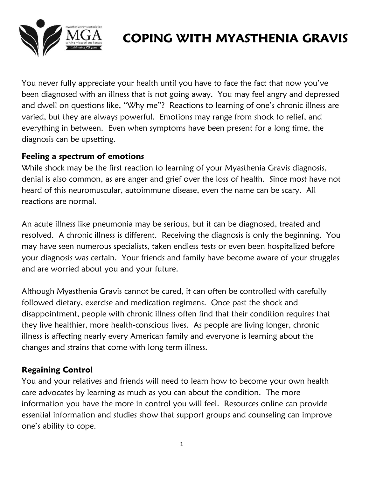

# **COPING WITH MYASTHENIA GRAVIS**

You never fully appreciate your health until you have to face the fact that now you've been diagnosed with an illness that is not going away. You may feel angry and depressed and dwell on questions like, "Why me"? Reactions to learning of one's chronic illness are varied, but they are always powerful. Emotions may range from shock to relief, and everything in between. Even when symptoms have been present for a long time, the diagnosis can be upsetting.

#### **Feeling a spectrum of emotions**

While shock may be the first reaction to learning of your Myasthenia Gravis diagnosis, denial is also common, as are anger and grief over the loss of health. Since most have not heard of this neuromuscular, autoimmune disease, even the name can be scary. All reactions are normal.

An acute illness like pneumonia may be serious, but it can be diagnosed, treated and resolved. A chronic illness is different. Receiving the diagnosis is only the beginning. You may have seen numerous specialists, taken endless tests or even been hospitalized before your diagnosis was certain. Your friends and family have become aware of your struggles and are worried about you and your future.

Although Myasthenia Gravis cannot be cured, it can often be controlled with carefully followed dietary, exercise and medication regimens. Once past the shock and disappointment, people with chronic illness often find that their condition requires that they live healthier, more health-conscious lives. As people are living longer, chronic illness is affecting nearly every American family and everyone is learning about the changes and strains that come with long term illness.

#### **Regaining Control**

You and your relatives and friends will need to learn how to become your own health care advocates by learning as much as you can about the condition. The more information you have the more in control you will feel. Resources online can provide essential information and studies show that support groups and counseling can improve one's ability to cope.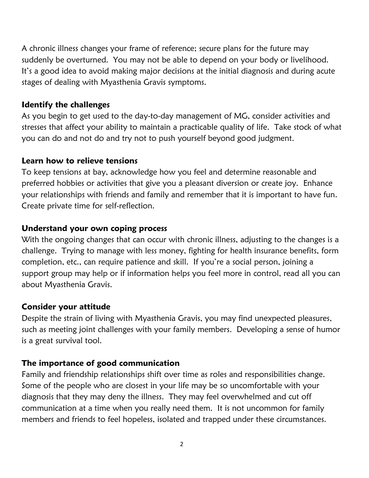A chronic illness changes your frame of reference; secure plans for the future may suddenly be overturned. You may not be able to depend on your body or livelihood. It's a good idea to avoid making major decisions at the initial diagnosis and during acute stages of dealing with Myasthenia Gravis symptoms.

### **Identify the challenges**

As you begin to get used to the day-to-day management of MG, consider activities and stresses that affect your ability to maintain a practicable quality of life. Take stock of what you can do and not do and try not to push yourself beyond good judgment.

#### **Learn how to relieve tensions**

To keep tensions at bay, acknowledge how you feel and determine reasonable and preferred hobbies or activities that give you a pleasant diversion or create joy. Enhance your relationships with friends and family and remember that it is important to have fun. Create private time for self-reflection.

#### **Understand your own coping process**

With the ongoing changes that can occur with chronic illness, adjusting to the changes is a challenge. Trying to manage with less money, fighting for health insurance benefits, form completion, etc., can require patience and skill. If you're a social person, joining a support group may help or if information helps you feel more in control, read all you can about Myasthenia Gravis.

#### **Consider your attitude**

Despite the strain of living with Myasthenia Gravis, you may find unexpected pleasures, such as meeting joint challenges with your family members. Developing a sense of humor is a great survival tool.

## **The importance of good communication**

Family and friendship relationships shift over time as roles and responsibilities change. Some of the people who are closest in your life may be so uncomfortable with your diagnosis that they may deny the illness. They may feel overwhelmed and cut off communication at a time when you really need them. It is not uncommon for family members and friends to feel hopeless, isolated and trapped under these circumstances.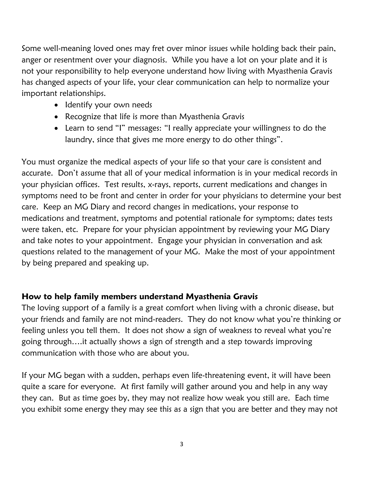Some well-meaning loved ones may fret over minor issues while holding back their pain, anger or resentment over your diagnosis. While you have a lot on your plate and it is not your responsibility to help everyone understand how living with Myasthenia Gravis has changed aspects of your life, your clear communication can help to normalize your important relationships.

- Identify your own needs
- Recognize that life is more than Myasthenia Gravis
- Learn to send "I" messages: "I really appreciate your willingness to do the laundry, since that gives me more energy to do other things".

You must organize the medical aspects of your life so that your care is consistent and accurate. Don't assume that all of your medical information is in your medical records in your physician offices. Test results, x-rays, reports, current medications and changes in symptoms need to be front and center in order for your physicians to determine your best care. Keep an MG Diary and record changes in medications, your response to medications and treatment, symptoms and potential rationale for symptoms; dates tests were taken, etc. Prepare for your physician appointment by reviewing your MG Diary and take notes to your appointment. Engage your physician in conversation and ask questions related to the management of your MG. Make the most of your appointment by being prepared and speaking up.

## **How to help family members understand Myasthenia Gravis**

The loving support of a family is a great comfort when living with a chronic disease, but your friends and family are not mind-readers. They do not know what you're thinking or feeling unless you tell them. It does not show a sign of weakness to reveal what you're going through….it actually shows a sign of strength and a step towards improving communication with those who are about you.

If your MG began with a sudden, perhaps even life-threatening event, it will have been quite a scare for everyone. At first family will gather around you and help in any way they can. But as time goes by, they may not realize how weak you still are. Each time you exhibit some energy they may see this as a sign that you are better and they may not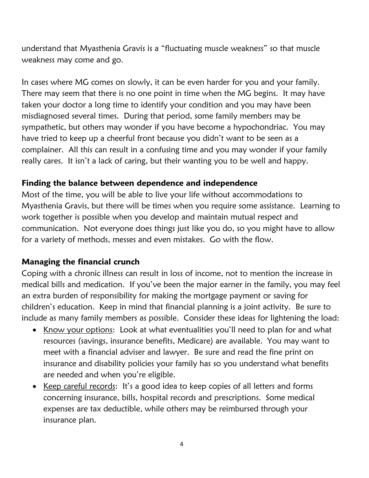understand that Myasthenia Gravis is a "fluctuating muscle weakness" so that muscle weakness may come and go.

In cases where MG comes on slowly, it can be even harder for you and your family. There may seem that there is no one point in time when the MG begins. It may have taken your doctor a long time to identify your condition and you may have been misdiagnosed several times. During that period, some family members may be sympathetic, but others may wonder if you have become a hypochondriac. You may have tried to keep up a cheerful front because you didn't want to be seen as a complainer. All this can result in a confusing time and you may wonder if your family really cares. It isn't a lack of caring, but their wanting you to be well and happy.

### **Finding the balance between dependence and independence**

Most of the time, you will be able to live your life without accommodations to Myasthenia Gravis, but there will be times when you require some assistance. Learning to work together is possible when you develop and maintain mutual respect and communication. Not everyone does things just like you do, so you might have to allow for a variety of methods, messes and even mistakes. Go with the flow.

## **Managing the financial crunch**

Coping with a chronic illness can result in loss of income, not to mention the increase in medical bills and medication. If you've been the major earner in the family, you may feel an extra burden of responsibility for making the mortgage payment or saving for children's education. Keep in mind that financial planning is a joint activity. Be sure to include as many family members as possible. Consider these ideas for lightening the load:

- Know your options: Look at what eventualities you'll need to plan for and what resources (savings, insurance benefits, Medicare) are available. You may want to meet with a financial adviser and lawyer. Be sure and read the fine print on insurance and disability policies your family has so you understand what benefits are needed and when you're eligible.
- Keep careful records: It's a good idea to keep copies of all letters and forms concerning insurance, bills, hospital records and prescriptions. Some medical expenses are tax deductible, while others may be reimbursed through your insurance plan.